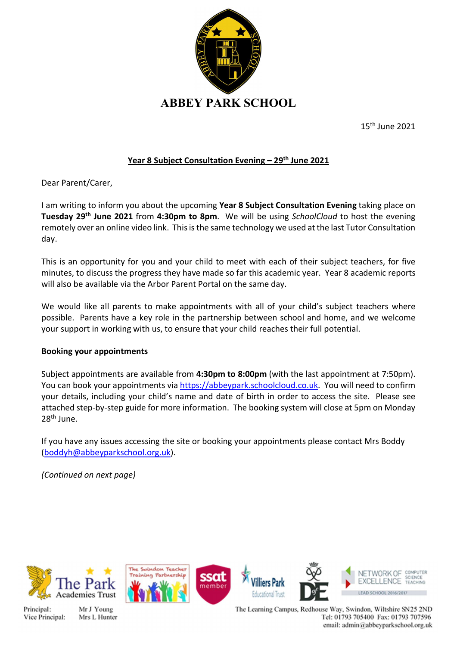

15th June 2021

## Year 8 Subject Consultation Evening - 29<sup>th</sup> June 2021

Dear Parent/Carer,

I am writing to inform you about the upcoming Year 8 Subject Consultation Evening taking place on Tuesday 29<sup>th</sup> June 2021 from 4:30pm to 8pm. We will be using SchoolCloud to host the evening remotely over an online video link. This is the same technology we used at the last Tutor Consultation day.

This is an opportunity for you and your child to meet with each of their subject teachers, for five minutes, to discuss the progress they have made so far this academic year. Year 8 academic reports will also be available via the Arbor Parent Portal on the same day.

We would like all parents to make appointments with all of your child's subject teachers where possible. Parents have a key role in the partnership between school and home, and we welcome your support in working with us, to ensure that your child reaches their full potential.

## Booking your appointments

Subject appointments are available from 4:30pm to 8:00pm (with the last appointment at 7:50pm). You can book your appointments via https://abbeypark.schoolcloud.co.uk. You will need to confirm your details, including your child's name and date of birth in order to access the site. Please see attached step-by-step guide for more information. The booking system will close at 5pm on Monday 28<sup>th</sup> June.

If you have any issues accessing the site or booking your appointments please contact Mrs Boddy (boddyh@abbeyparkschool.org.uk).

(Continued on next page)



Principal: Vice Principal:









The Learning Campus, Redhouse Way, Swindon, Wiltshire SN25 2ND Tel: 01793 705400 Fax: 01793 707596 email: admin@abbeyparkschool.org.uk